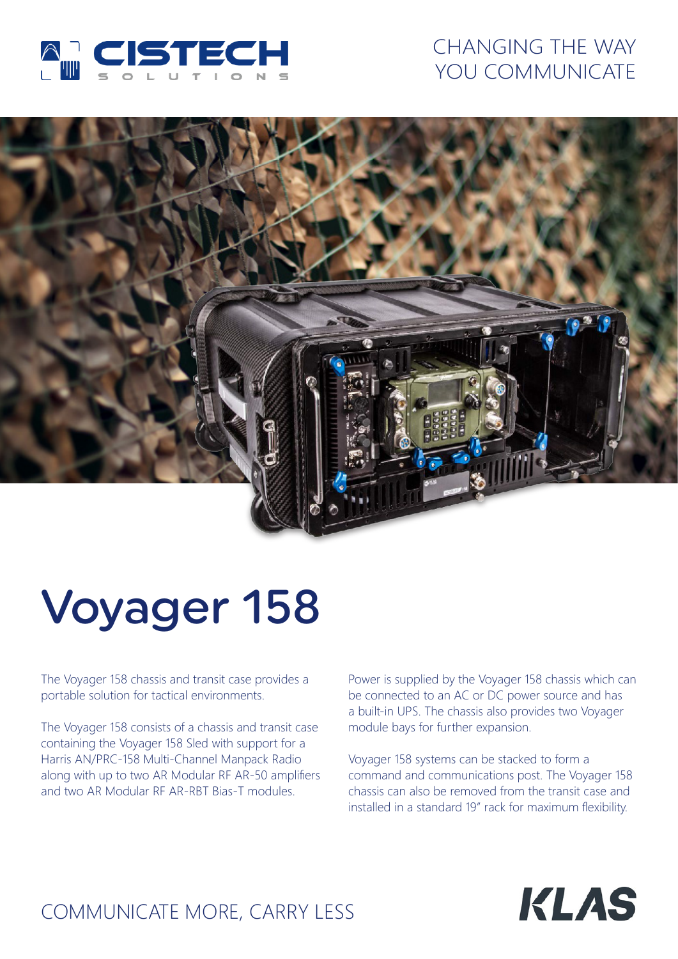

## CHANGING THE WAY YOU COMMUNICATE



# Voyager 158

The Voyager 158 chassis and transit case provides a portable solution for tactical environments.

The Voyager 158 consists of a chassis and transit case containing the Voyager 158 Sled with support for a Harris AN/PRC-158 Multi-Channel Manpack Radio along with up to two AR Modular RF AR-50 amplifiers and two AR Modular RF AR-RBT Bias-T modules.

Power is supplied by the Voyager 158 chassis which can be connected to an AC or DC power source and has a built-in UPS. The chassis also provides two Voyager module bays for further expansion.

Voyager 158 systems can be stacked to form a command and communications post. The Voyager 158 chassis can also be removed from the transit case and installed in a standard 19" rack for maximum flexibility.



# COMMUNICATE MORE, CARRY LESS